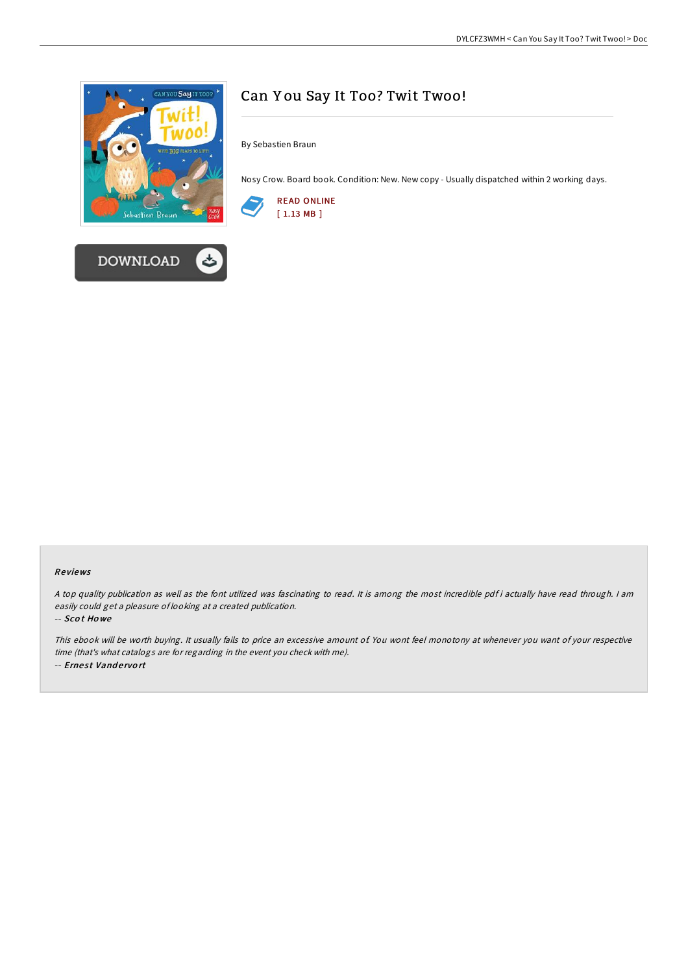



# Can Y ou Say It Too? Twit Twoo!

By Sebastien Braun

Nosy Crow. Board book. Condition: New. New copy - Usually dispatched within 2 working days.



#### Re views

<sup>A</sup> top quality publication as well as the font utilized was fascinating to read. It is among the most incredible pdf i actually have read through. <sup>I</sup> am easily could get <sup>a</sup> pleasure of looking at <sup>a</sup> created publication.

-- Sco t Ho we

This ebook will be worth buying. It usually fails to price an excessive amount of. You wont feel monotony at whenever you want of your respective time (that's what catalogs are for regarding in the event you check with me). -- Ernest Vandervort